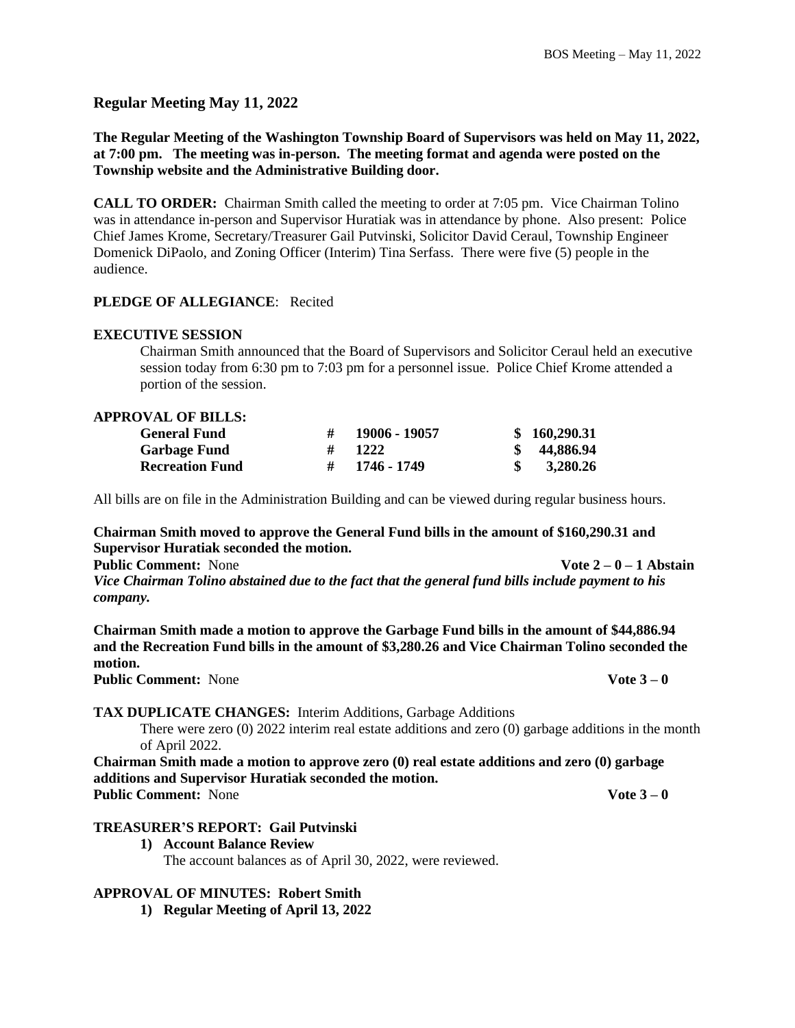**Regular Meeting May 11, 2022**

**The Regular Meeting of the Washington Township Board of Supervisors was held on May 11, 2022, at 7:00 pm. The meeting was in-person. The meeting format and agenda were posted on the Township website and the Administrative Building door.** 

**CALL TO ORDER:** Chairman Smith called the meeting to order at 7:05 pm. Vice Chairman Tolino was in attendance in-person and Supervisor Huratiak was in attendance by phone. Also present: Police Chief James Krome, Secretary/Treasurer Gail Putvinski, Solicitor David Ceraul, Township Engineer Domenick DiPaolo, and Zoning Officer (Interim) Tina Serfass. There were five (5) people in the audience.

### **PLEDGE OF ALLEGIANCE**: Recited

#### **EXECUTIVE SESSION**

Chairman Smith announced that the Board of Supervisors and Solicitor Ceraul held an executive session today from 6:30 pm to 7:03 pm for a personnel issue. Police Chief Krome attended a portion of the session.

#### **APPROVAL OF BILLS:**

| <b>General Fund</b>    | # | 19006 - 19057    | \$160,290.31 |
|------------------------|---|------------------|--------------|
| <b>Garbage Fund</b>    | # | 1222             | \$44,886.94  |
| <b>Recreation Fund</b> |   | $\#$ 1746 - 1749 | 3,280.26     |

All bills are on file in the Administration Building and can be viewed during regular business hours.

#### **Chairman Smith moved to approve the General Fund bills in the amount of \$160,290.31 and Supervisor Huratiak seconded the motion.**

**Public Comment:** None **Vote 2** – 0 – 1 Abstain

*Vice Chairman Tolino abstained due to the fact that the general fund bills include payment to his company.*

**Chairman Smith made a motion to approve the Garbage Fund bills in the amount of \$44,886.94 and the Recreation Fund bills in the amount of \$3,280.26 and Vice Chairman Tolino seconded the motion.**

**Public Comment:** None **Vote 3 – 0** 

### **TAX DUPLICATE CHANGES:** Interim Additions, Garbage Additions

There were zero (0) 2022 interim real estate additions and zero (0) garbage additions in the month of April 2022.

**Chairman Smith made a motion to approve zero (0) real estate additions and zero (0) garbage additions and Supervisor Huratiak seconded the motion. Public Comment:** None **Vote 3 – 0** 

- **TREASURER'S REPORT: Gail Putvinski**
	- **1) Account Balance Review** The account balances as of April 30, 2022, were reviewed.

### **APPROVAL OF MINUTES: Robert Smith**

**1) Regular Meeting of April 13, 2022**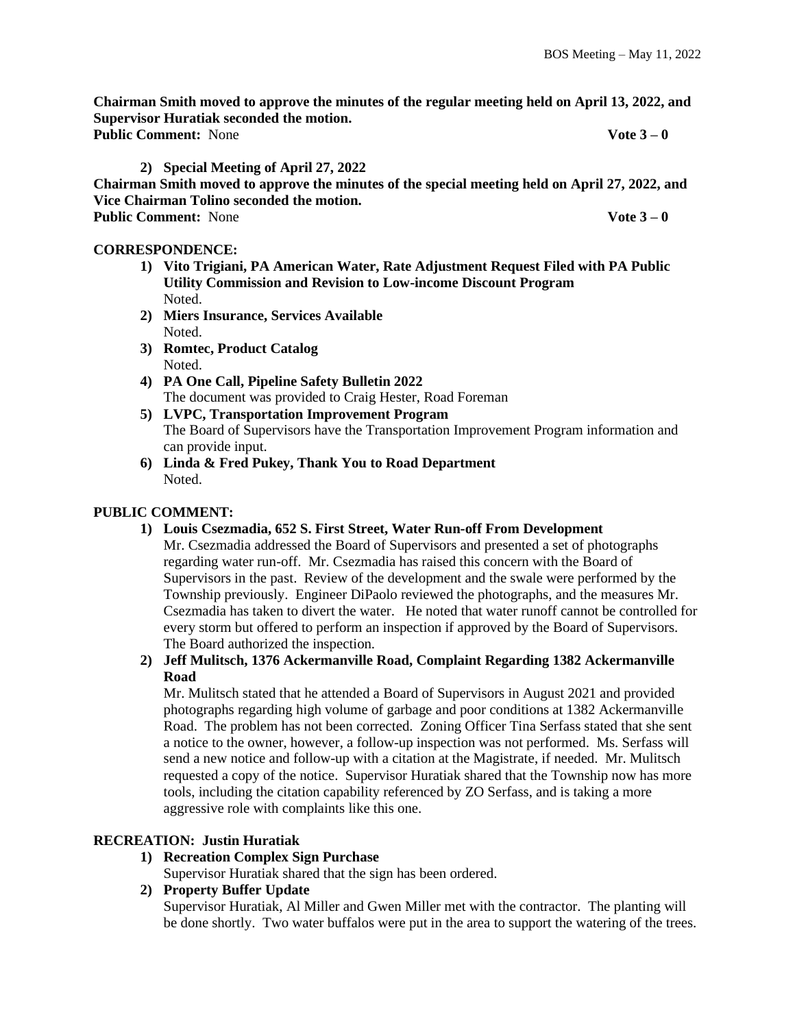**Chairman Smith moved to approve the minutes of the regular meeting held on April 13, 2022, and Supervisor Huratiak seconded the motion. Public Comment:** None **Vote 3 – 0**

**2) Special Meeting of April 27, 2022**

**Chairman Smith moved to approve the minutes of the special meeting held on April 27, 2022, and Vice Chairman Tolino seconded the motion. Public Comment:** None **Vote 3 – 0**

# **CORRESPONDENCE:**

- **1) Vito Trigiani, PA American Water, Rate Adjustment Request Filed with PA Public Utility Commission and Revision to Low-income Discount Program** Noted.
- **2) Miers Insurance, Services Available** Noted.
- **3) Romtec, Product Catalog** Noted.
- **4) PA One Call, Pipeline Safety Bulletin 2022** The document was provided to Craig Hester, Road Foreman
- **5) LVPC, Transportation Improvement Program** The Board of Supervisors have the Transportation Improvement Program information and can provide input.
- **6) Linda & Fred Pukey, Thank You to Road Department** Noted.

# **PUBLIC COMMENT:**

**1) Louis Csezmadia, 652 S. First Street, Water Run-off From Development**

Mr. Csezmadia addressed the Board of Supervisors and presented a set of photographs regarding water run-off. Mr. Csezmadia has raised this concern with the Board of Supervisors in the past. Review of the development and the swale were performed by the Township previously. Engineer DiPaolo reviewed the photographs, and the measures Mr. Csezmadia has taken to divert the water. He noted that water runoff cannot be controlled for every storm but offered to perform an inspection if approved by the Board of Supervisors. The Board authorized the inspection.

# **2) Jeff Mulitsch, 1376 Ackermanville Road, Complaint Regarding 1382 Ackermanville Road**

Mr. Mulitsch stated that he attended a Board of Supervisors in August 2021 and provided photographs regarding high volume of garbage and poor conditions at 1382 Ackermanville Road. The problem has not been corrected. Zoning Officer Tina Serfass stated that she sent a notice to the owner, however, a follow-up inspection was not performed. Ms. Serfass will send a new notice and follow-up with a citation at the Magistrate, if needed. Mr. Mulitsch requested a copy of the notice. Supervisor Huratiak shared that the Township now has more tools, including the citation capability referenced by ZO Serfass, and is taking a more aggressive role with complaints like this one.

# **RECREATION: Justin Huratiak**

# **1) Recreation Complex Sign Purchase**

Supervisor Huratiak shared that the sign has been ordered.

# **2) Property Buffer Update**

Supervisor Huratiak, Al Miller and Gwen Miller met with the contractor. The planting will be done shortly. Two water buffalos were put in the area to support the watering of the trees.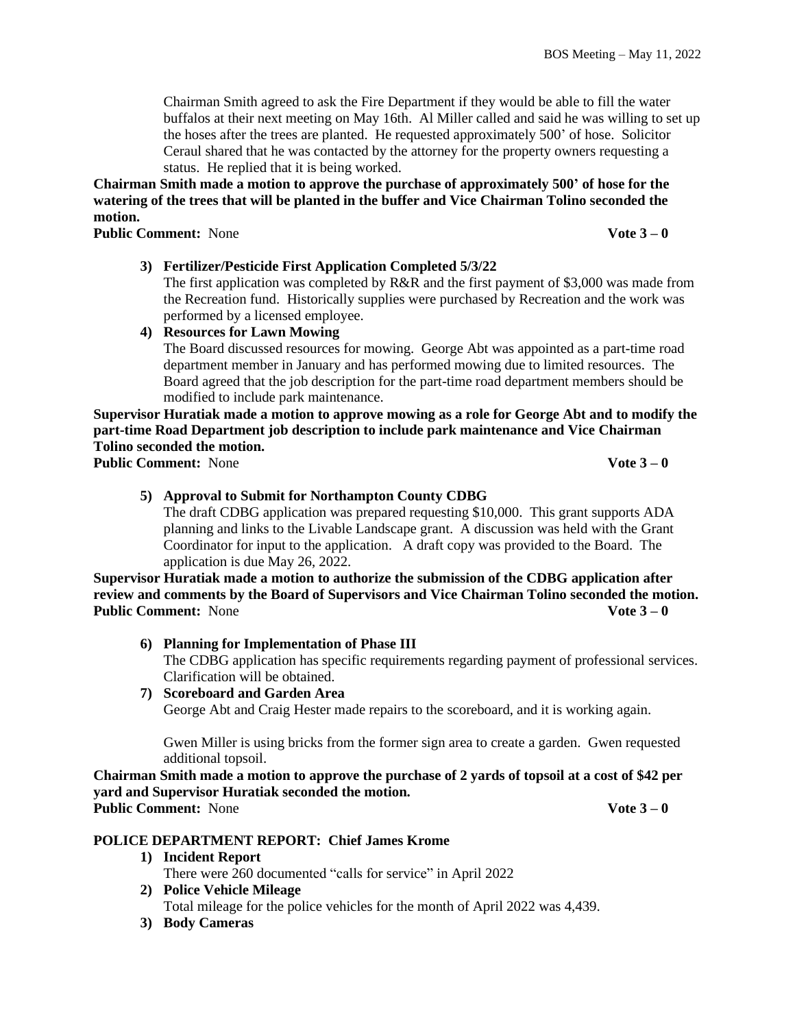Chairman Smith agreed to ask the Fire Department if they would be able to fill the water buffalos at their next meeting on May 16th. Al Miller called and said he was willing to set up the hoses after the trees are planted. He requested approximately 500' of hose. Solicitor Ceraul shared that he was contacted by the attorney for the property owners requesting a status. He replied that it is being worked.

**Chairman Smith made a motion to approve the purchase of approximately 500' of hose for the watering of the trees that will be planted in the buffer and Vice Chairman Tolino seconded the motion.**

**Public Comment:** None **Vote 3 – 0**

# **3) Fertilizer/Pesticide First Application Completed 5/3/22**

The first application was completed by  $R\&R$  and the first payment of \$3,000 was made from the Recreation fund. Historically supplies were purchased by Recreation and the work was performed by a licensed employee.

# **4) Resources for Lawn Mowing**

The Board discussed resources for mowing. George Abt was appointed as a part-time road department member in January and has performed mowing due to limited resources. The Board agreed that the job description for the part-time road department members should be modified to include park maintenance.

**Supervisor Huratiak made a motion to approve mowing as a role for George Abt and to modify the part-time Road Department job description to include park maintenance and Vice Chairman Tolino seconded the motion. Public Comment:** None **Vote 3 – 0** 

# **5) Approval to Submit for Northampton County CDBG**

The draft CDBG application was prepared requesting \$10,000. This grant supports ADA planning and links to the Livable Landscape grant. A discussion was held with the Grant Coordinator for input to the application. A draft copy was provided to the Board. The application is due May 26, 2022.

**Supervisor Huratiak made a motion to authorize the submission of the CDBG application after review and comments by the Board of Supervisors and Vice Chairman Tolino seconded the motion. Public Comment:** None **Vote 3 – 0** 

**6) Planning for Implementation of Phase III**

The CDBG application has specific requirements regarding payment of professional services. Clarification will be obtained.

# **7) Scoreboard and Garden Area**

George Abt and Craig Hester made repairs to the scoreboard, and it is working again.

Gwen Miller is using bricks from the former sign area to create a garden. Gwen requested additional topsoil.

**Chairman Smith made a motion to approve the purchase of 2 yards of topsoil at a cost of \$42 per yard and Supervisor Huratiak seconded the motion. Public Comment:** None **Vote 3 – 0** 

# **POLICE DEPARTMENT REPORT: Chief James Krome**

- **1) Incident Report** There were 260 documented "calls for service" in April 2022
- **2) Police Vehicle Mileage** Total mileage for the police vehicles for the month of April 2022 was 4,439.
- **3) Body Cameras**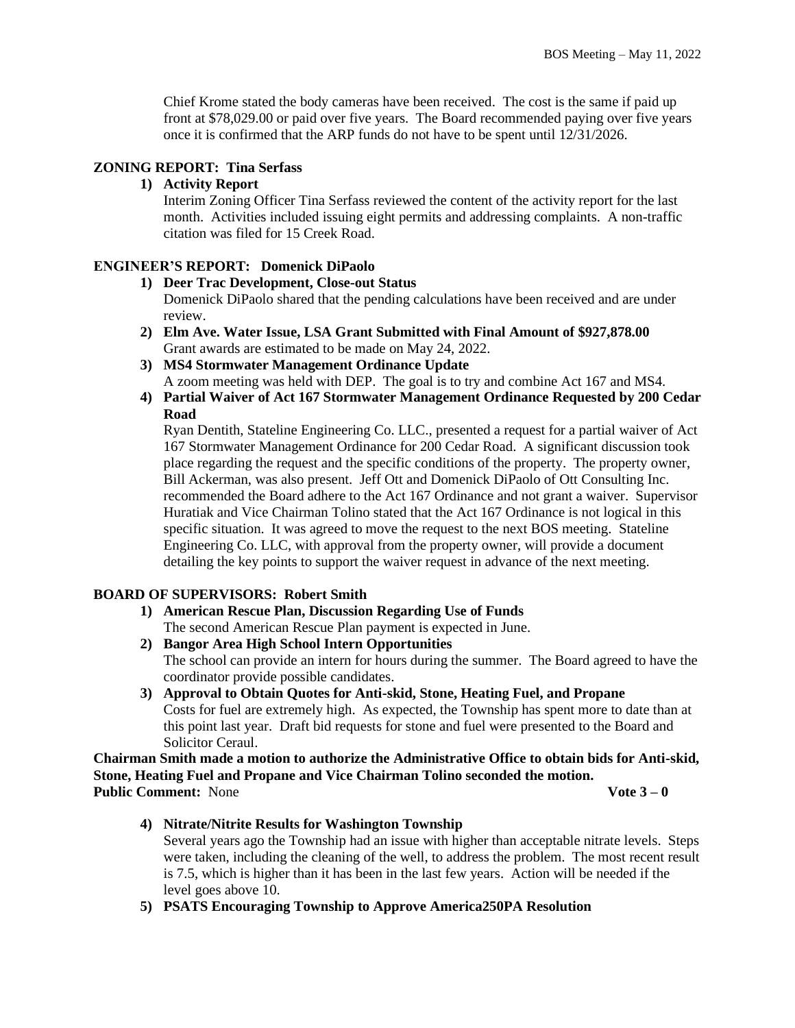Chief Krome stated the body cameras have been received. The cost is the same if paid up front at \$78,029.00 or paid over five years. The Board recommended paying over five years once it is confirmed that the ARP funds do not have to be spent until 12/31/2026.

### **ZONING REPORT: Tina Serfass**

# **1) Activity Report**

Interim Zoning Officer Tina Serfass reviewed the content of the activity report for the last month. Activities included issuing eight permits and addressing complaints. A non-traffic citation was filed for 15 Creek Road.

#### **ENGINEER'S REPORT: Domenick DiPaolo**

#### **1) Deer Trac Development, Close-out Status**

Domenick DiPaolo shared that the pending calculations have been received and are under review.

- **2) Elm Ave. Water Issue, LSA Grant Submitted with Final Amount of \$927,878.00** Grant awards are estimated to be made on May 24, 2022.
- **3) MS4 Stormwater Management Ordinance Update** A zoom meeting was held with DEP. The goal is to try and combine Act 167 and MS4.
- **4) Partial Waiver of Act 167 Stormwater Management Ordinance Requested by 200 Cedar Road**

Ryan Dentith, Stateline Engineering Co. LLC., presented a request for a partial waiver of Act 167 Stormwater Management Ordinance for 200 Cedar Road. A significant discussion took place regarding the request and the specific conditions of the property. The property owner, Bill Ackerman, was also present. Jeff Ott and Domenick DiPaolo of Ott Consulting Inc. recommended the Board adhere to the Act 167 Ordinance and not grant a waiver. Supervisor Huratiak and Vice Chairman Tolino stated that the Act 167 Ordinance is not logical in this specific situation. It was agreed to move the request to the next BOS meeting. Stateline Engineering Co. LLC, with approval from the property owner, will provide a document detailing the key points to support the waiver request in advance of the next meeting.

### **BOARD OF SUPERVISORS: Robert Smith**

- **1) American Rescue Plan, Discussion Regarding Use of Funds** The second American Rescue Plan payment is expected in June.
- **2) Bangor Area High School Intern Opportunities** The school can provide an intern for hours during the summer. The Board agreed to have the coordinator provide possible candidates.
- **3) Approval to Obtain Quotes for Anti-skid, Stone, Heating Fuel, and Propane**  Costs for fuel are extremely high. As expected, the Township has spent more to date than at this point last year. Draft bid requests for stone and fuel were presented to the Board and Solicitor Ceraul.

**Chairman Smith made a motion to authorize the Administrative Office to obtain bids for Anti-skid, Stone, Heating Fuel and Propane and Vice Chairman Tolino seconded the motion. Public Comment:** None **Vote 3 – 0** 

**4) Nitrate/Nitrite Results for Washington Township** Several years ago the Township had an issue with higher than acceptable nitrate levels. Steps were taken, including the cleaning of the well, to address the problem. The most recent result is 7.5, which is higher than it has been in the last few years. Action will be needed if the level goes above 10.

**5) PSATS Encouraging Township to Approve America250PA Resolution**